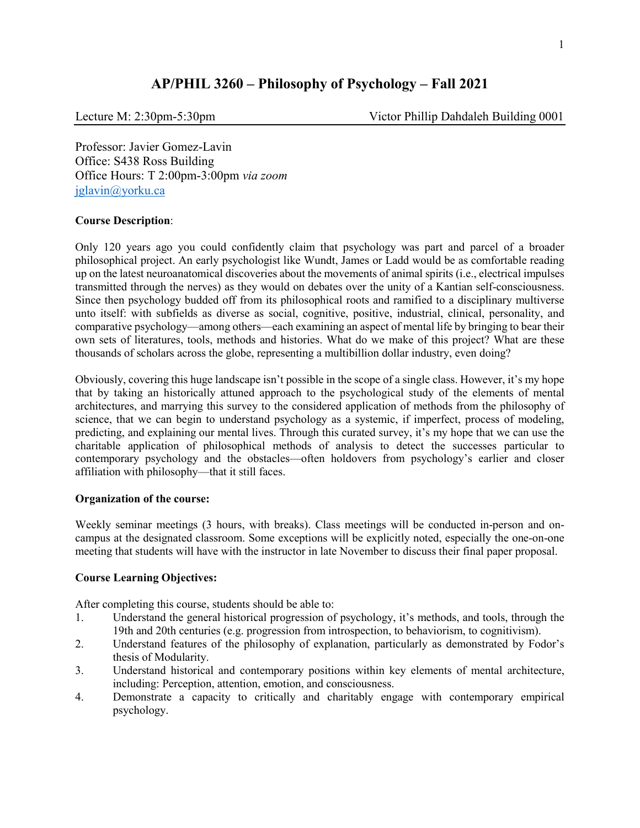# **AP/PHIL 3260 – Philosophy of Psychology – Fall 2021**

Lecture M: 2:30pm-5:30pm Victor Phillip Dahdaleh Building 0001

Professor: Javier Gomez-Lavin Office: S438 Ross Building Office Hours: T 2:00pm-3:00pm *via zoom*  [jglavin@yorku.ca](mailto:jglavin@yorku.ca)

## **Course Description**:

Only 120 years ago you could confidently claim that psychology was part and parcel of a broader philosophical project. An early psychologist like Wundt, James or Ladd would be as comfortable reading up on the latest neuroanatomical discoveries about the movements of animal spirits (i.e., electrical impulses transmitted through the nerves) as they would on debates over the unity of a Kantian self-consciousness. Since then psychology budded off from its philosophical roots and ramified to a disciplinary multiverse unto itself: with subfields as diverse as social, cognitive, positive, industrial, clinical, personality, and comparative psychology—among others—each examining an aspect of mental life by bringing to bear their own sets of literatures, tools, methods and histories. What do we make of this project? What are these thousands of scholars across the globe, representing a multibillion dollar industry, even doing?

Obviously, covering this huge landscape isn't possible in the scope of a single class. However, it's my hope that by taking an historically attuned approach to the psychological study of the elements of mental architectures, and marrying this survey to the considered application of methods from the philosophy of science, that we can begin to understand psychology as a systemic, if imperfect, process of modeling, predicting, and explaining our mental lives. Through this curated survey, it's my hope that we can use the charitable application of philosophical methods of analysis to detect the successes particular to contemporary psychology and the obstacles—often holdovers from psychology's earlier and closer affiliation with philosophy—that it still faces.

### **Organization of the course:**

Weekly seminar meetings (3 hours, with breaks). Class meetings will be conducted in-person and oncampus at the designated classroom. Some exceptions will be explicitly noted, especially the one-on-one meeting that students will have with the instructor in late November to discuss their final paper proposal.

### **Course Learning Objectives:**

After completing this course, students should be able to:

- 1. Understand the general historical progression of psychology, it's methods, and tools, through the 19th and 20th centuries (e.g. progression from introspection, to behaviorism, to cognitivism).
- 2. Understand features of the philosophy of explanation, particularly as demonstrated by Fodor's thesis of Modularity.
- 3. Understand historical and contemporary positions within key elements of mental architecture, including: Perception, attention, emotion, and consciousness.
- 4. Demonstrate a capacity to critically and charitably engage with contemporary empirical psychology.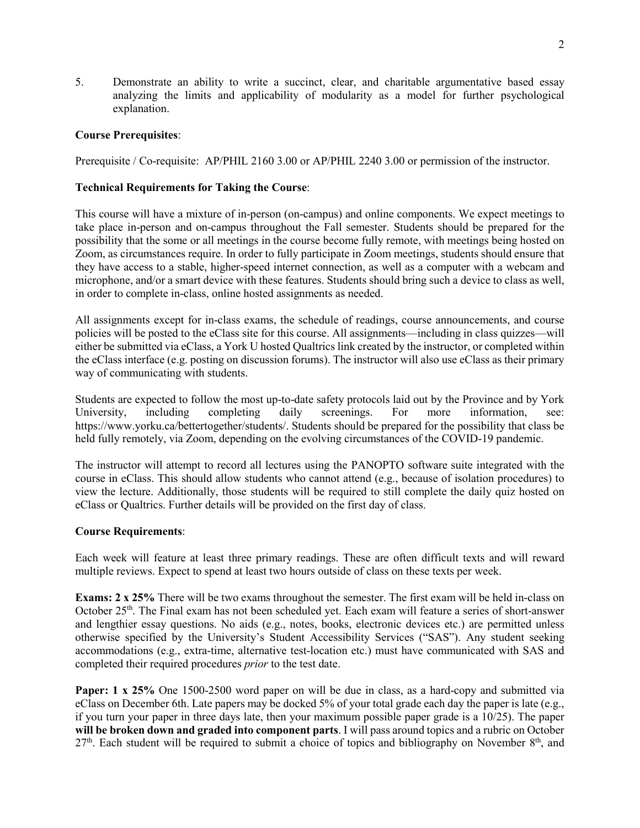5. Demonstrate an ability to write a succinct, clear, and charitable argumentative based essay analyzing the limits and applicability of modularity as a model for further psychological explanation.

## **Course Prerequisites**:

Prerequisite / Co-requisite: AP/PHIL 2160 3.00 or AP/PHIL 2240 3.00 or permission of the instructor.

## **Technical Requirements for Taking the Course**:

This course will have a mixture of in-person (on-campus) and online components. We expect meetings to take place in-person and on-campus throughout the Fall semester. Students should be prepared for the possibility that the some or all meetings in the course become fully remote, with meetings being hosted on Zoom, as circumstances require. In order to fully participate in Zoom meetings, students should ensure that they have access to a stable, higher-speed internet connection, as well as a computer with a webcam and microphone, and/or a smart device with these features. Students should bring such a device to class as well, in order to complete in-class, online hosted assignments as needed.

All assignments except for in-class exams, the schedule of readings, course announcements, and course policies will be posted to the eClass site for this course. All assignments—including in class quizzes—will either be submitted via eClass, a York U hosted Qualtrics link created by the instructor, or completed within the eClass interface (e.g. posting on discussion forums). The instructor will also use eClass as their primary way of communicating with students.

Students are expected to follow the most up-to-date safety protocols laid out by the Province and by York University, including completing daily screenings. For more information, see: https://www.yorku.ca/bettertogether/students/. Students should be prepared for the possibility that class be held fully remotely, via Zoom, depending on the evolving circumstances of the COVID-19 pandemic.

The instructor will attempt to record all lectures using the PANOPTO software suite integrated with the course in eClass. This should allow students who cannot attend (e.g., because of isolation procedures) to view the lecture. Additionally, those students will be required to still complete the daily quiz hosted on eClass or Qualtrics. Further details will be provided on the first day of class.

## **Course Requirements**:

Each week will feature at least three primary readings. These are often difficult texts and will reward multiple reviews. Expect to spend at least two hours outside of class on these texts per week.

**Exams: 2 x 25%** There will be two exams throughout the semester. The first exam will be held in-class on October 25th. The Final exam has not been scheduled yet. Each exam will feature a series of short-answer and lengthier essay questions. No aids (e.g., notes, books, electronic devices etc.) are permitted unless otherwise specified by the University's Student Accessibility Services ("SAS"). Any student seeking accommodations (e.g., extra-time, alternative test-location etc.) must have communicated with SAS and completed their required procedures *prior* to the test date.

**Paper: 1 x 25%** One 1500-2500 word paper on will be due in class, as a hard-copy and submitted via eClass on December 6th. Late papers may be docked 5% of your total grade each day the paper is late (e.g., if you turn your paper in three days late, then your maximum possible paper grade is a 10/25). The paper **will be broken down and graded into component parts**. I will pass around topics and a rubric on October  $27<sup>th</sup>$ . Each student will be required to submit a choice of topics and bibliography on November  $8<sup>th</sup>$ , and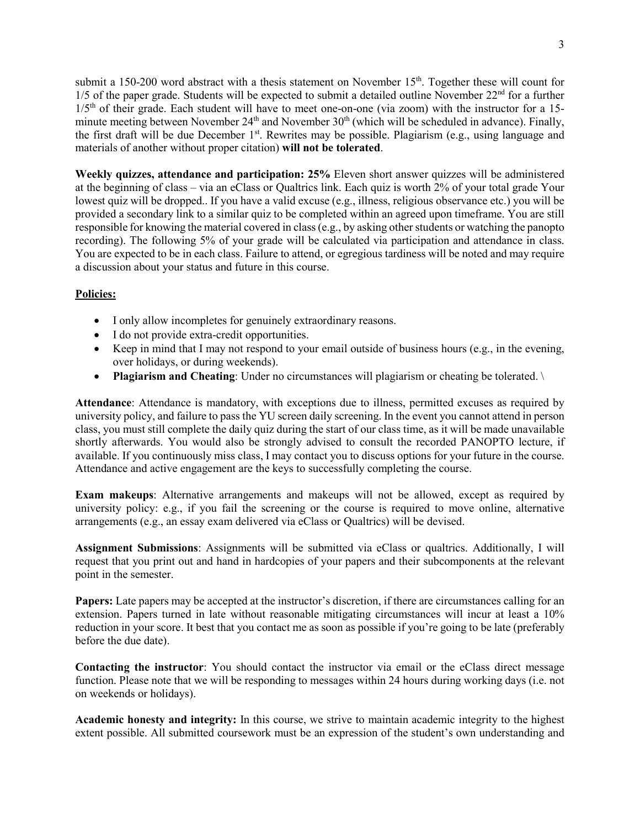submit a 150-200 word abstract with a thesis statement on November  $15<sup>th</sup>$ . Together these will count for  $1/5$  of the paper grade. Students will be expected to submit a detailed outline November  $22<sup>nd</sup>$  for a further  $1/5<sup>th</sup>$  of their grade. Each student will have to meet one-on-one (via zoom) with the instructor for a 15minute meeting between November 24<sup>th</sup> and November 30<sup>th</sup> (which will be scheduled in advance). Finally, the first draft will be due December 1<sup>st</sup>. Rewrites may be possible. Plagiarism (e.g., using language and materials of another without proper citation) **will not be tolerated**.

**Weekly quizzes, attendance and participation: 25%** Eleven short answer quizzes will be administered at the beginning of class – via an eClass or Qualtrics link. Each quiz is worth 2% of your total grade Your lowest quiz will be dropped.. If you have a valid excuse (e.g., illness, religious observance etc.) you will be provided a secondary link to a similar quiz to be completed within an agreed upon timeframe. You are still responsible for knowing the material covered in class (e.g., by asking other students or watching the panopto recording). The following 5% of your grade will be calculated via participation and attendance in class. You are expected to be in each class. Failure to attend, or egregious tardiness will be noted and may require a discussion about your status and future in this course.

## **Policies:**

- I only allow incompletes for genuinely extraordinary reasons.
- I do not provide extra-credit opportunities.
- Keep in mind that I may not respond to your email outside of business hours (e.g., in the evening, over holidays, or during weekends).
- **Plagiarism and Cheating**: Under no circumstances will plagiarism or cheating be tolerated.

**Attendance**: Attendance is mandatory, with exceptions due to illness, permitted excuses as required by university policy, and failure to pass the YU screen daily screening. In the event you cannot attend in person class, you must still complete the daily quiz during the start of our class time, as it will be made unavailable shortly afterwards. You would also be strongly advised to consult the recorded PANOPTO lecture, if available. If you continuously miss class, I may contact you to discuss options for your future in the course. Attendance and active engagement are the keys to successfully completing the course.

**Exam makeups**: Alternative arrangements and makeups will not be allowed, except as required by university policy: e.g., if you fail the screening or the course is required to move online, alternative arrangements (e.g., an essay exam delivered via eClass or Qualtrics) will be devised.

**Assignment Submissions**: Assignments will be submitted via eClass or qualtrics. Additionally, I will request that you print out and hand in hardcopies of your papers and their subcomponents at the relevant point in the semester.

**Papers:** Late papers may be accepted at the instructor's discretion, if there are circumstances calling for an extension. Papers turned in late without reasonable mitigating circumstances will incur at least a 10% reduction in your score. It best that you contact me as soon as possible if you're going to be late (preferably before the due date).

**Contacting the instructor**: You should contact the instructor via email or the eClass direct message function. Please note that we will be responding to messages within 24 hours during working days (i.e. not on weekends or holidays).

**Academic honesty and integrity:** In this course, we strive to maintain academic integrity to the highest extent possible. All submitted coursework must be an expression of the student's own understanding and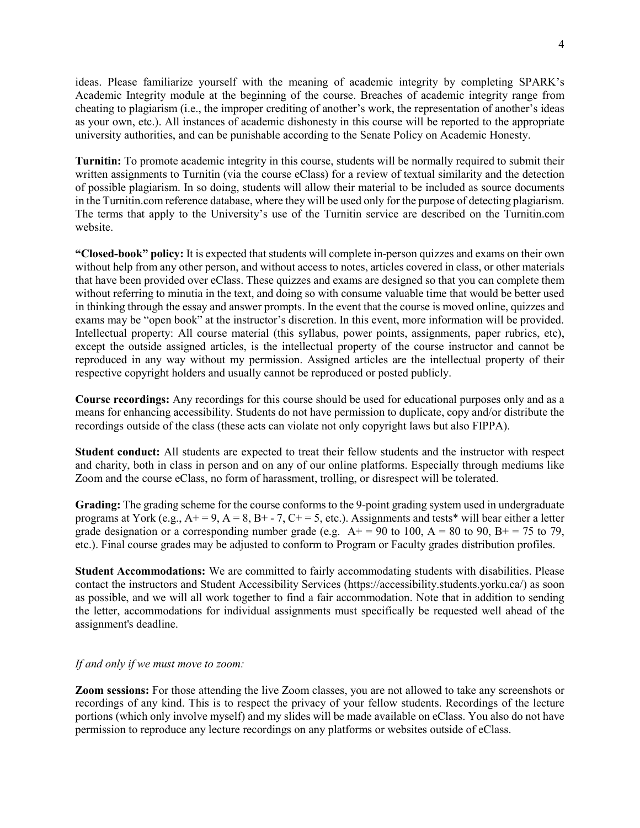ideas. Please familiarize yourself with the meaning of academic integrity by completing SPARK's Academic Integrity module at the beginning of the course. Breaches of academic integrity range from cheating to plagiarism (i.e., the improper crediting of another's work, the representation of another's ideas as your own, etc.). All instances of academic dishonesty in this course will be reported to the appropriate university authorities, and can be punishable according to the Senate Policy on Academic Honesty.

**Turnitin:** To promote academic integrity in this course, students will be normally required to submit their written assignments to Turnitin (via the course eClass) for a review of textual similarity and the detection of possible plagiarism. In so doing, students will allow their material to be included as source documents in the Turnitin.com reference database, where they will be used only for the purpose of detecting plagiarism. The terms that apply to the University's use of the Turnitin service are described on the Turnitin.com website.

**"Closed-book" policy:** It is expected that students will complete in-person quizzes and exams on their own without help from any other person, and without access to notes, articles covered in class, or other materials that have been provided over eClass. These quizzes and exams are designed so that you can complete them without referring to minutia in the text, and doing so with consume valuable time that would be better used in thinking through the essay and answer prompts. In the event that the course is moved online, quizzes and exams may be "open book" at the instructor's discretion. In this event, more information will be provided. Intellectual property: All course material (this syllabus, power points, assignments, paper rubrics, etc), except the outside assigned articles, is the intellectual property of the course instructor and cannot be reproduced in any way without my permission. Assigned articles are the intellectual property of their respective copyright holders and usually cannot be reproduced or posted publicly.

**Course recordings:** Any recordings for this course should be used for educational purposes only and as a means for enhancing accessibility. Students do not have permission to duplicate, copy and/or distribute the recordings outside of the class (these acts can violate not only copyright laws but also FIPPA).

**Student conduct:** All students are expected to treat their fellow students and the instructor with respect and charity, both in class in person and on any of our online platforms. Especially through mediums like Zoom and the course eClass, no form of harassment, trolling, or disrespect will be tolerated.

**Grading:** The grading scheme for the course conforms to the 9-point grading system used in undergraduate programs at York (e.g.,  $A+=9$ ,  $A=8$ ,  $B+-7$ ,  $C+=5$ , etc.). Assignments and tests\* will bear either a letter grade designation or a corresponding number grade (e.g.  $A+ = 90$  to 100,  $A = 80$  to 90,  $B+ = 75$  to 79, etc.). Final course grades may be adjusted to conform to Program or Faculty grades distribution profiles.

**Student Accommodations:** We are committed to fairly accommodating students with disabilities. Please contact the instructors and Student Accessibility Services (https://accessibility.students.yorku.ca/) as soon as possible, and we will all work together to find a fair accommodation. Note that in addition to sending the letter, accommodations for individual assignments must specifically be requested well ahead of the assignment's deadline.

### *If and only if we must move to zoom:*

**Zoom sessions:** For those attending the live Zoom classes, you are not allowed to take any screenshots or recordings of any kind. This is to respect the privacy of your fellow students. Recordings of the lecture portions (which only involve myself) and my slides will be made available on eClass. You also do not have permission to reproduce any lecture recordings on any platforms or websites outside of eClass.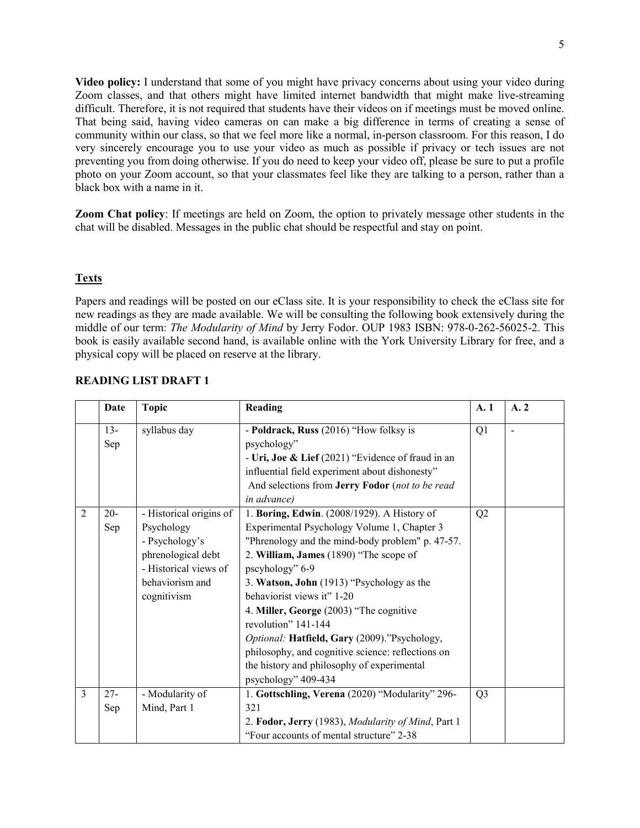**Video policy:** I understand that some of you might have privacy concerns about using your video during Zoom classes, and that others might have limited internet bandwidth that might make live-streaming difficult. Therefore, it is not required that students have their videos on if meetings must be moved online. That being said, having video cameras on can make a big difference in terms of creating a sense of community within our class, so that we feel more like a normal, in-person classroom. For this reason, I do very sincerely encourage you to use your video as much as possible if privacy or tech issues are not preventing you from doing otherwise. If you do need to keep your video off, please be sure to put a profile photo on your Zoom account, so that your classmates feel like they are talking to a person, rather than a black box with a name in it.

**Zoom Chat policy**: If meetings are held on Zoom, the option to privately message other students in the chat will be disabled. Messages in the public chat should be respectful and stay on point.

## **Texts**

Papers and readings will be posted on our eClass site. It is your responsibility to check the eClass site for new readings as they are made available. We will be consulting the following book extensively during the middle of our term: *The Modularity of Mind* by Jerry Fodor. OUP 1983 ISBN: 978-0-262-56025-2. This book is easily available second hand, is available online with the York University Library for free, and a physical copy will be placed on reserve at the library.

|   | Date          | <b>Topic</b>                                                                                                                             | Reading                                                                                                                                                                                                                                                                                                                                                                                                                                                                                                                            | A.1            | A.2            |
|---|---------------|------------------------------------------------------------------------------------------------------------------------------------------|------------------------------------------------------------------------------------------------------------------------------------------------------------------------------------------------------------------------------------------------------------------------------------------------------------------------------------------------------------------------------------------------------------------------------------------------------------------------------------------------------------------------------------|----------------|----------------|
|   | $13 -$<br>Sep | syllabus day                                                                                                                             | - Poldrack, Russ (2016) "How folksy is<br>psychology"<br>- Uri, Joe & Lief (2021) "Evidence of fraud in an<br>influential field experiment about dishonesty"<br>And selections from Jerry Fodor (not to be read                                                                                                                                                                                                                                                                                                                    | Q1             | $\blacksquare$ |
|   |               |                                                                                                                                          | in advance)                                                                                                                                                                                                                                                                                                                                                                                                                                                                                                                        |                |                |
| 2 | $20 -$<br>Sep | - Historical origins of<br>Psychology<br>- Psychology's<br>phrenological debt<br>- Historical views of<br>behaviorism and<br>cognitivism | 1. Boring, Edwin. (2008/1929). A History of<br>Experimental Psychology Volume 1, Chapter 3<br>"Phrenology and the mind-body problem" p. 47-57.<br>2. William, James (1890) "The scope of<br>pscyhology" 6-9<br>3. Watson, John (1913) "Psychology as the<br>behaviorist views it" 1-20<br>4. Miller, George (2003) "The cognitive<br>revolution" 141-144<br>Optional: Hatfield, Gary (2009)."Psychology,<br>philosophy, and cognitive science: reflections on<br>the history and philosophy of experimental<br>psychology" 409-434 | Q2             |                |
| 3 | $27 -$<br>Sep | - Modularity of<br>Mind, Part 1                                                                                                          | 1. Gottschling, Verena (2020) "Modularity" 296-<br>321<br>2. Fodor, Jerry (1983), Modularity of Mind, Part 1<br>"Four accounts of mental structure" 2-38                                                                                                                                                                                                                                                                                                                                                                           | Q <sub>3</sub> |                |

### **READING LIST DRAFT 1**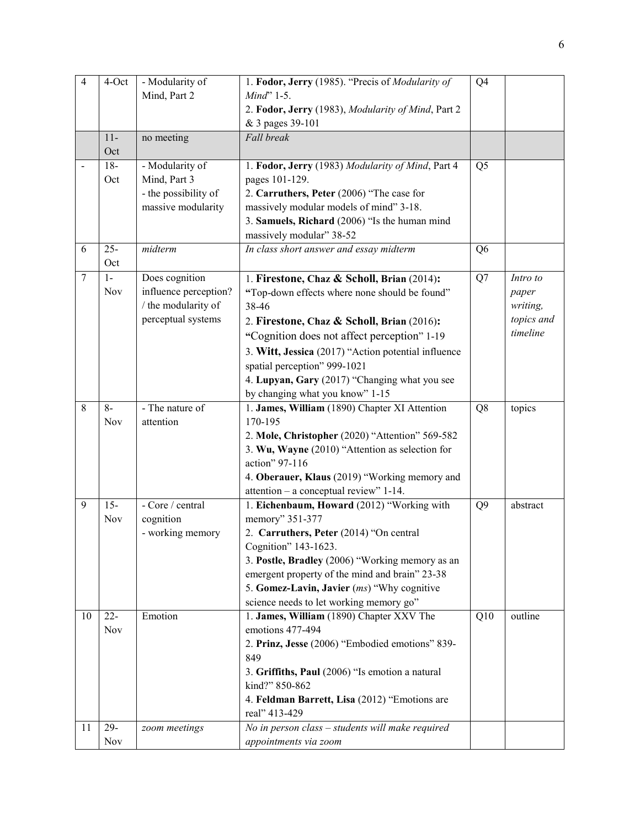| $\overline{4}$ | 4-Oct      | - Modularity of       | 1. Fodor, Jerry (1985). "Precis of Modularity of                  | Q4             |            |
|----------------|------------|-----------------------|-------------------------------------------------------------------|----------------|------------|
|                |            | Mind, Part 2          | $Mind$ <sup>2</sup> 1-5.                                          |                |            |
|                |            |                       | 2. Fodor, Jerry (1983), Modularity of Mind, Part 2                |                |            |
|                |            |                       | & 3 pages 39-101                                                  |                |            |
|                | $11-$      | no meeting            | Fall break                                                        |                |            |
|                | Oct        |                       |                                                                   |                |            |
|                | $18 -$     | - Modularity of       | 1. Fodor, Jerry (1983) Modularity of Mind, Part 4                 | Q <sub>5</sub> |            |
|                | Oct        | Mind, Part 3          | pages 101-129.                                                    |                |            |
|                |            | - the possibility of  | 2. Carruthers, Peter (2006) "The case for                         |                |            |
|                |            | massive modularity    | massively modular models of mind" 3-18.                           |                |            |
|                |            |                       | 3. Samuels, Richard (2006) "Is the human mind                     |                |            |
|                |            |                       | massively modular" 38-52                                          |                |            |
| 6              | $25 -$     | midterm               | In class short answer and essay midterm                           | Q <sub>6</sub> |            |
|                | Oct        |                       |                                                                   |                |            |
| $\overline{7}$ | $1-$       | Does cognition        | 1. Firestone, Chaz & Scholl, Brian (2014):                        | Q7             | Intro to   |
|                | Nov        | influence perception? | "Top-down effects where none should be found"                     |                | paper      |
|                |            | / the modularity of   | 38-46                                                             |                | writing,   |
|                |            | perceptual systems    | 2. Firestone, Chaz & Scholl, Brian (2016):                        |                | topics and |
|                |            |                       | "Cognition does not affect perception" 1-19                       |                | timeline   |
|                |            |                       | 3. Witt, Jessica (2017) "Action potential influence               |                |            |
|                |            |                       | spatial perception" 999-1021                                      |                |            |
|                |            |                       | 4. Lupyan, Gary (2017) "Changing what you see                     |                |            |
|                |            |                       | by changing what you know" 1-15                                   |                |            |
| 8              | $8-$       | - The nature of       | 1. James, William (1890) Chapter XI Attention                     | Q <sub>8</sub> | topics     |
|                | <b>Nov</b> | attention             | 170-195                                                           |                |            |
|                |            |                       | 2. Mole, Christopher (2020) "Attention" 569-582                   |                |            |
|                |            |                       | 3. Wu, Wayne (2010) "Attention as selection for                   |                |            |
|                |            |                       | action" 97-116                                                    |                |            |
|                |            |                       | 4. Oberauer, Klaus (2019) "Working memory and                     |                |            |
|                |            |                       | attention $-$ a conceptual review" 1-14.                          |                |            |
| 9              | $15 -$     | - Core / central      | 1. Eichenbaum, Howard (2012) "Working with                        | Q <sub>9</sub> | abstract   |
|                | Nov        | cognition             | memory" 351-377                                                   |                |            |
|                |            | - working memory      | 2. Carruthers, Peter (2014) "On central                           |                |            |
|                |            |                       | Cognition" 143-1623.                                              |                |            |
|                |            |                       | 3. Postle, Bradley (2006) "Working memory as an                   |                |            |
|                |            |                       | emergent property of the mind and brain" 23-38                    |                |            |
|                |            |                       | 5. Gomez-Lavin, Javier (ms) "Why cognitive                        |                |            |
|                |            |                       | science needs to let working memory go"                           |                |            |
| 10             | $22 -$     | Emotion               | 1. James, William (1890) Chapter XXV The                          | Q10            | outline    |
|                | <b>Nov</b> |                       | emotions 477-494                                                  |                |            |
|                |            |                       | 2. Prinz, Jesse (2006) "Embodied emotions" 839-                   |                |            |
|                |            |                       | 849                                                               |                |            |
|                |            |                       | 3. Griffiths, Paul (2006) "Is emotion a natural<br>kind?" 850-862 |                |            |
|                |            |                       |                                                                   |                |            |
|                |            |                       | 4. Feldman Barrett, Lisa (2012) "Emotions are<br>real" 413-429    |                |            |
|                | 29-        |                       |                                                                   |                |            |
| 11             | Nov        | zoom meetings         | No in person class - students will make required                  |                |            |
|                |            |                       | appointments via zoom                                             |                |            |